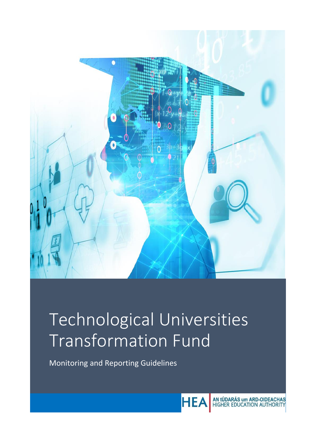

# Technological Universities Transformation Fund

Monitoring and Reporting Guidelines



AN tÚDARÁS um ARD-OIDEACHAS<br>HIGHER EDUCATION AUTHORITY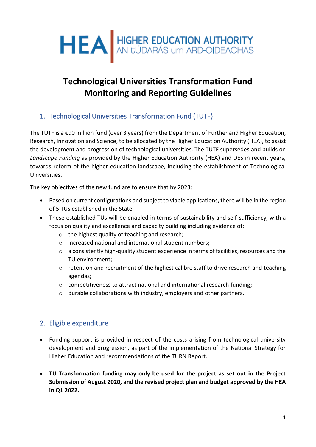

## **Technological Universities Transformation Fund Monitoring and Reporting Guidelines**

## 1. Technological Universities Transformation Fund (TUTF)

The TUTF is a €90 million fund (over 3 years) from the Department of Further and Higher Education, Research, Innovation and Science, to be allocated by the Higher Education Authority (HEA), to assist the development and progression of technological universities. The TUTF supersedes and builds on *Landscape Funding* as provided by the Higher Education Authority (HEA) and DES in recent years, towards reform of the higher education landscape, including the establishment of Technological Universities.

The key objectives of the new fund are to ensure that by 2023:

- Based on current configurations and subject to viable applications, there will be in the region of 5 TUs established in the State.
- These established TUs will be enabled in terms of sustainability and self-sufficiency, with a focus on quality and excellence and capacity building including evidence of:
	- o the highest quality of teaching and research;
	- o increased national and international student numbers;
	- $\circ$  a consistently high-quality student experience in terms of facilities, resources and the TU environment;
	- o retention and recruitment of the highest calibre staff to drive research and teaching agendas;
	- o competitiveness to attract national and international research funding;
	- o durable collaborations with industry, employers and other partners.

## 2. Eligible expenditure

- Funding support is provided in respect of the costs arising from technological university development and progression, as part of the implementation of the National Strategy for Higher Education and recommendations of the TURN Report.
- **TU Transformation funding may only be used for the project as set out in the Project Submission of August 2020, and the revised project plan and budget approved by the HEA in Q1 2022.**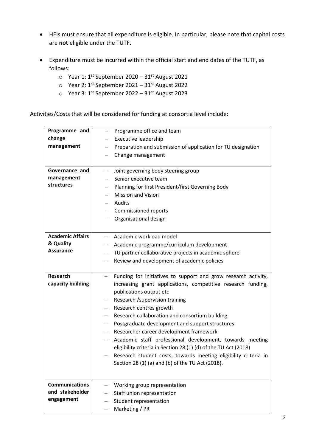- HEIs must ensure that all expenditure is eligible. In particular, please note that capital costs are **not** eligible under the TUTF.
- Expenditure must be incurred within the official start and end dates of the TUTF, as follows:
	- $\circ$  Year 1: 1<sup>st</sup> September 2020 31<sup>st</sup> August 2021
	- $\circ$  Year 2: 1st September 2021 31st August 2022
	- o Year 3: 1st September 2022 31st August 2023

Activities/Costs that will be considered for funding at consortia level include:

| Programme and           | Programme office and team<br>$\qquad \qquad -$                                                                                  |  |  |
|-------------------------|---------------------------------------------------------------------------------------------------------------------------------|--|--|
| change                  | <b>Executive leadership</b><br>$-$                                                                                              |  |  |
| management              | Preparation and submission of application for TU designation                                                                    |  |  |
|                         | Change management<br>$\qquad \qquad -$                                                                                          |  |  |
|                         |                                                                                                                                 |  |  |
| Governance and          | Joint governing body steering group<br>$\qquad \qquad -$                                                                        |  |  |
| management              | Senior executive team                                                                                                           |  |  |
| structures              | Planning for first President/first Governing Body<br>$\overline{\phantom{0}}$                                                   |  |  |
|                         | <b>Mission and Vision</b>                                                                                                       |  |  |
|                         | Audits<br>$-$                                                                                                                   |  |  |
|                         | Commissioned reports                                                                                                            |  |  |
|                         | Organisational design                                                                                                           |  |  |
|                         |                                                                                                                                 |  |  |
| <b>Academic Affairs</b> | Academic workload model<br>$\overline{\phantom{0}}$                                                                             |  |  |
| & Quality               | Academic programme/curriculum development<br>$\overline{\phantom{0}}$                                                           |  |  |
| <b>Assurance</b>        | TU partner collaborative projects in academic sphere<br>$\overline{\phantom{m}}$                                                |  |  |
|                         | Review and development of academic policies<br>$\qquad \qquad -$                                                                |  |  |
|                         |                                                                                                                                 |  |  |
|                         |                                                                                                                                 |  |  |
| <b>Research</b>         | Funding for initiatives to support and grow research activity,<br>$\overline{\phantom{0}}$                                      |  |  |
| capacity building       | increasing grant applications, competitive research funding,                                                                    |  |  |
|                         | publications output etc                                                                                                         |  |  |
|                         | Research / supervision training<br>$\overline{\phantom{0}}$                                                                     |  |  |
|                         | Research centres growth<br>$-$                                                                                                  |  |  |
|                         |                                                                                                                                 |  |  |
|                         | Research collaboration and consortium building<br>$-$                                                                           |  |  |
|                         | Postgraduate development and support structures                                                                                 |  |  |
|                         | Researcher career development framework<br>Academic staff professional development, towards meeting<br>$\overline{\phantom{0}}$ |  |  |
|                         | eligibility criteria in Section 28 (1) (d) of the TU Act (2018)                                                                 |  |  |
|                         |                                                                                                                                 |  |  |
|                         | Research student costs, towards meeting eligibility criteria in                                                                 |  |  |
|                         | Section 28 (1) (a) and (b) of the TU Act (2018).                                                                                |  |  |
|                         |                                                                                                                                 |  |  |
| <b>Communications</b>   | Working group representation                                                                                                    |  |  |
| and stakeholder         | Staff union representation                                                                                                      |  |  |
| engagement              | Student representation                                                                                                          |  |  |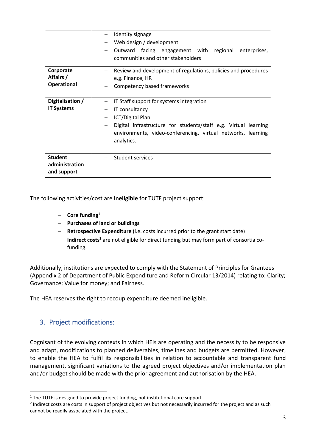|                                                 | Identity signage<br>Web design / development<br>Outward facing engagement with regional<br>enterprises,<br>communities and other stakeholders                                                                                   |
|-------------------------------------------------|---------------------------------------------------------------------------------------------------------------------------------------------------------------------------------------------------------------------------------|
| Corporate<br>Affairs /<br><b>Operational</b>    | Review and development of regulations, policies and procedures<br>e.g. Finance, HR<br>Competency based frameworks                                                                                                               |
| Digitalisation /<br><b>IT Systems</b>           | IT Staff support for systems integration<br>IT consultancy<br>ICT/Digital Plan<br>Digital infrastructure for students/staff e.g. Virtual learning<br>environments, video-conferencing, virtual networks, learning<br>analytics. |
| <b>Student</b><br>administration<br>and support | Student services                                                                                                                                                                                                                |

The following activities/cost are **ineligible** for TUTF project support:

- − **Core funding**<sup>1</sup> − **Purchases of land or buildings Retrospective Expenditure** (i.e. costs incurred prior to the grant start date)
	- **Indirect costs<sup>2</sup>** are not eligible for direct funding but may form part of consortia cofunding.

Additionally, institutions are expected to comply with the Statement of Principles for Grantees (Appendix 2 of Department of Public Expenditure and Reform Circular 13/2014) relating to: Clarity; Governance; Value for money; and Fairness.

The HEA reserves the right to recoup expenditure deemed ineligible.

## 3. Project modifications:

Cognisant of the evolving contexts in which HEIs are operating and the necessity to be responsive and adapt, modifications to planned deliverables, timelines and budgets are permitted. However, to enable the HEA to fulfil its responsibilities in relation to accountable and transparent fund management, significant variations to the agreed project objectives and/or implementation plan and/or budget should be made with the prior agreement and authorisation by the HEA.

<sup>&</sup>lt;sup>1</sup> The TUTF is designed to provide project funding, not institutional core support.

<sup>&</sup>lt;sup>2</sup> Indirect costs are costs in support of project objectives but not necessarily incurred for the project and as such cannot be readily associated with the project.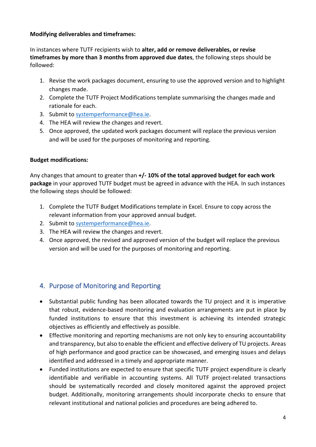#### **Modifying deliverables and timeframes:**

In instances where TUTF recipients wish to **alter, add or remove deliverables, or revise timeframes by more than 3 months from approved due dates**, the following steps should be followed:

- 1. Revise the work packages document, ensuring to use the approved version and to highlight changes made.
- 2. Complete the TUTF Project Modifications template summarising the changes made and rationale for each.
- 3. Submit to [systemperformance@hea.ie.](mailto:systemperformance@hea.ie)
- 4. The HEA will review the changes and revert.
- 5. Once approved, the updated work packages document will replace the previous version and will be used for the purposes of monitoring and reporting.

#### **Budget modifications:**

Any changes that amount to greater than **+/- 10% of the total approved budget for each work package** in your approved TUTF budget must be agreed in advance with the HEA. In such instances the following steps should be followed:

- 1. Complete the TUTF Budget Modifications template in Excel. Ensure to copy across the relevant information from your approved annual budget.
- 2. Submit to [systemperformance@hea.ie.](mailto:systemperformance@hea.ie)
- 3. The HEA will review the changes and revert.
- 4. Once approved, the revised and approved version of the budget will replace the previous version and will be used for the purposes of monitoring and reporting.

## 4. Purpose of Monitoring and Reporting

- Substantial public funding has been allocated towards the TU project and it is imperative that robust, evidence-based monitoring and evaluation arrangements are put in place by funded institutions to ensure that this investment is achieving its intended strategic objectives as efficiently and effectively as possible.
- Effective monitoring and reporting mechanisms are not only key to ensuring accountability and transparency, but also to enable the efficient and effective delivery of TU projects. Areas of high performance and good practice can be showcased, and emerging issues and delays identified and addressed in a timely and appropriate manner.
- Funded institutions are expected to ensure that specific TUTF project expenditure is clearly identifiable and verifiable in accounting systems. All TUTF project-related transactions should be systematically recorded and closely monitored against the approved project budget. Additionally, monitoring arrangements should incorporate checks to ensure that relevant institutional and national policies and procedures are being adhered to.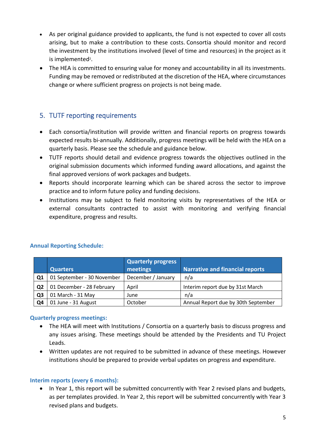- As per original guidance provided to applicants, the fund is not expected to cover all costs arising, but to make a contribution to these costs. Consortia should monitor and record the investment by the institutions involved (level of time and resources) in the project as it is implemented<sup>2</sup>.
- The HEA is committed to ensuring value for money and accountability in all its investments. Funding may be removed or redistributed at the discretion of the HEA, where circumstances change or where sufficient progress on projects is not being made.

## 5. TUTF reporting requirements

- Each consortia/institution will provide written and financial reports on progress towards expected results bi-annually. Additionally, progress meetings will be held with the HEA on a quarterly basis. Please see the schedule and guidance below.
- TUTF reports should detail and evidence progress towards the objectives outlined in the original submission documents which informed funding award allocations, and against the final approved versions of work packages and budgets.
- Reports should incorporate learning which can be shared across the sector to improve practice and to inform future policy and funding decisions.
- Institutions may be subject to field monitoring visits by representatives of the HEA or external consultants contracted to assist with monitoring and verifying financial expenditure, progress and results.

|                | <b>Quarters</b>            | <b>Quarterly progress</b><br>meetings | <b>Narrative and financial reports</b> |
|----------------|----------------------------|---------------------------------------|----------------------------------------|
| Q <sub>1</sub> | 01 September - 30 November | December / January                    | n/a                                    |
| Q <sub>2</sub> | 01 December - 28 February  | April                                 | Interim report due by 31st March       |
| Q <sub>3</sub> | 01 March - 31 May          | June                                  | n/a                                    |
| Q4             | 01 June - 31 August        | October                               | Annual Report due by 30th September    |

#### **Annual Reporting Schedule:**

#### **Quarterly progress meetings:**

- The HEA will meet with Institutions / Consortia on a quarterly basis to discuss progress and any issues arising. These meetings should be attended by the Presidents and TU Project Leads.
- Written updates are not required to be submitted in advance of these meetings. However institutions should be prepared to provide verbal updates on progress and expenditure.

#### **Interim reports (every 6 months):**

• In Year 1, this report will be submitted concurrently with Year 2 revised plans and budgets, as per templates provided. In Year 2, this report will be submitted concurrently with Year 3 revised plans and budgets.